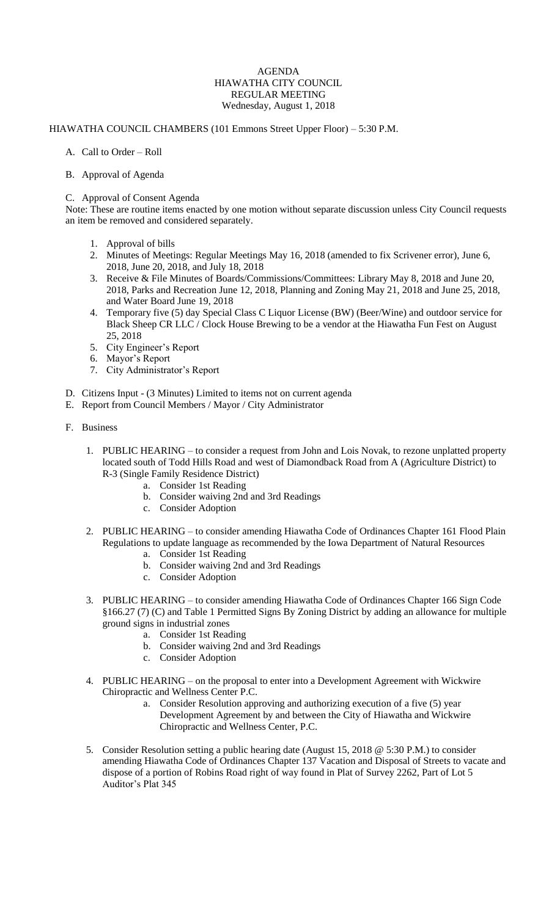## AGENDA HIAWATHA CITY COUNCIL REGULAR MEETING Wednesday, August 1, 2018

## HIAWATHA COUNCIL CHAMBERS (101 Emmons Street Upper Floor) – 5:30 P.M.

- A. Call to Order Roll
- B. Approval of Agenda

## C. Approval of Consent Agenda

Note: These are routine items enacted by one motion without separate discussion unless City Council requests an item be removed and considered separately.

- 1. Approval of bills
- 2. Minutes of Meetings: Regular Meetings May 16, 2018 (amended to fix Scrivener error), June 6, 2018, June 20, 2018, and July 18, 2018
- 3. Receive & File Minutes of Boards/Commissions/Committees: Library May 8, 2018 and June 20, 2018, Parks and Recreation June 12, 2018, Planning and Zoning May 21, 2018 and June 25, 2018, and Water Board June 19, 2018
- 4. Temporary five (5) day Special Class C Liquor License (BW) (Beer/Wine) and outdoor service for Black Sheep CR LLC / Clock House Brewing to be a vendor at the Hiawatha Fun Fest on August 25, 2018
- 5. City Engineer's Report
- 6. Mayor's Report
- 7. City Administrator's Report
- D. Citizens Input (3 Minutes) Limited to items not on current agenda
- E. Report from Council Members / Mayor / City Administrator
- F. Business
	- 1. PUBLIC HEARING to consider a request from John and Lois Novak, to rezone unplatted property located south of Todd Hills Road and west of Diamondback Road from A (Agriculture District) to R-3 (Single Family Residence District)
		- a. Consider 1st Reading
		- b. Consider waiving 2nd and 3rd Readings
		- c. Consider Adoption
	- 2. PUBLIC HEARING to consider amending Hiawatha Code of Ordinances Chapter 161 Flood Plain Regulations to update language as recommended by the Iowa Department of Natural Resources
		- a. Consider 1st Reading
		- b. Consider waiving 2nd and 3rd Readings
		- c. Consider Adoption
	- 3. PUBLIC HEARING to consider amending Hiawatha Code of Ordinances Chapter 166 Sign Code §166.27 (7) (C) and Table 1 Permitted Signs By Zoning District by adding an allowance for multiple ground signs in industrial zones
		- a. Consider 1st Reading
		- b. Consider waiving 2nd and 3rd Readings
		- c. Consider Adoption
	- 4. PUBLIC HEARING on the proposal to enter into a Development Agreement with Wickwire Chiropractic and Wellness Center P.C.
		- a. Consider Resolution approving and authorizing execution of a five (5) year Development Agreement by and between the City of Hiawatha and Wickwire Chiropractic and Wellness Center, P.C.
	- 5. Consider Resolution setting a public hearing date (August 15, 2018 @ 5:30 P.M.) to consider amending Hiawatha Code of Ordinances Chapter 137 Vacation and Disposal of Streets to vacate and dispose of a portion of Robins Road right of way found in Plat of Survey 2262, Part of Lot 5 Auditor's Plat 345